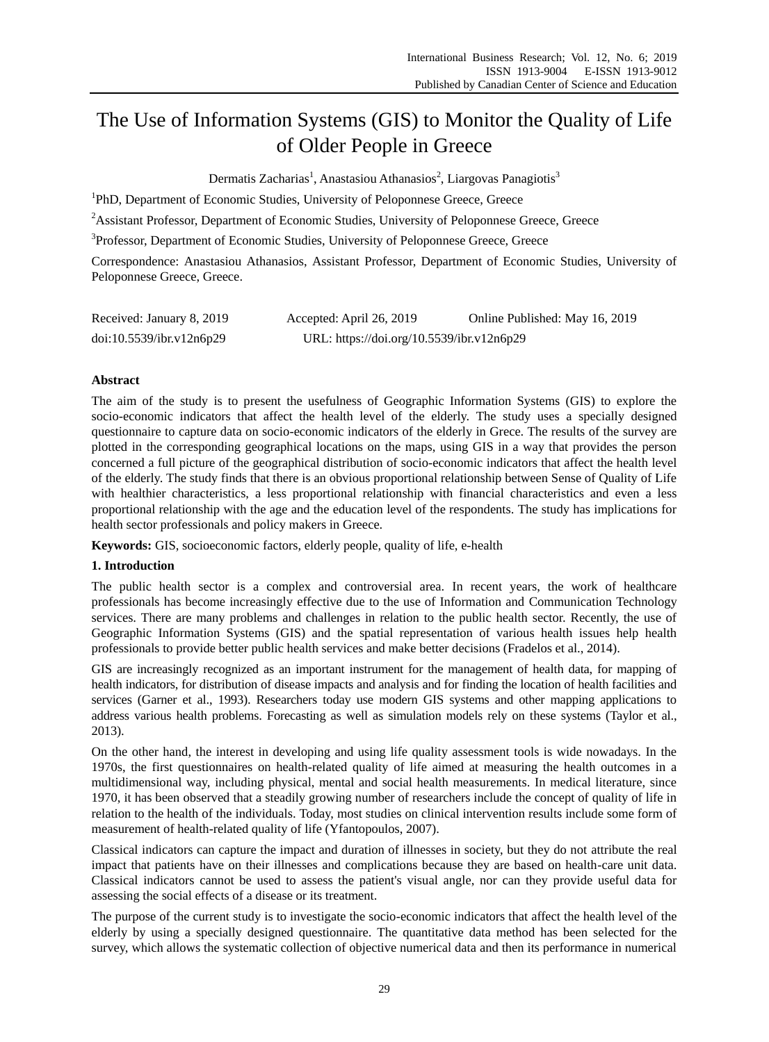# The Use of Information Systems (GIS) to Monitor the Quality of Life of Older People in Greece

Dermatis Zacharias<sup>1</sup>, Anastasiou Athanasios<sup>2</sup>, Liargovas Panagiotis<sup>3</sup>

<sup>1</sup>PhD, Department of Economic Studies, University of Peloponnese Greece, Greece

<sup>2</sup>Assistant Professor, Department of Economic Studies, University of Peloponnese Greece, Greece

<sup>3</sup>Professor, Department of Economic Studies, University of Peloponnese Greece, Greece

Correspondence: Anastasiou Athanasios, Assistant Professor, Department of Economic Studies, University of Peloponnese Greece, Greece.

| Received: January 8, 2019 | Accepted: April 26, 2019                  | Online Published: May 16, 2019 |
|---------------------------|-------------------------------------------|--------------------------------|
| doi:10.5539/ibr.v12n6p29  | URL: https://doi.org/10.5539/ibr.v12n6p29 |                                |

# **Abstract**

The aim of the study is to present the usefulness of Geographic Information Systems (GIS) to explore the socio-economic indicators that affect the health level of the elderly. The study uses a specially designed questionnaire to capture data on socio-economic indicators of the elderly in Grece. The results of the survey are plotted in the corresponding geographical locations on the maps, using GIS in a way that provides the person concerned a full picture of the geographical distribution of socio-economic indicators that affect the health level of the elderly. The study finds that there is an obvious proportional relationship between Sense of Quality of Life with healthier characteristics, a less proportional relationship with financial characteristics and even a less proportional relationship with the age and the education level of the respondents. The study has implications for health sector professionals and policy makers in Greece.

**Keywords:** GIS, socioeconomic factors, elderly people, quality of life, e-health

# **1. Introduction**

The public health sector is a complex and controversial area. In recent years, the work of healthcare professionals has become increasingly effective due to the use of Information and Communication Technology services. There are many problems and challenges in relation to the public health sector. Recently, the use of Geographic Information Systems (GIS) and the spatial representation of various health issues help health professionals to provide better public health services and make better decisions (Fradelos et al., 2014).

GIS are increasingly recognized as an important instrument for the management of health data, for mapping of health indicators, for distribution of disease impacts and analysis and for finding the location of health facilities and services (Garner et al., 1993). Researchers today use modern GIS systems and other mapping applications to address various health problems. Forecasting as well as simulation models rely on these systems (Taylor et al., 2013).

On the other hand, the interest in developing and using life quality assessment tools is wide nowadays. In the 1970s, the first questionnaires on health-related quality of life aimed at measuring the health outcomes in a multidimensional way, including physical, mental and social health measurements. In medical literature, since 1970, it has been observed that a steadily growing number of researchers include the concept of quality of life in relation to the health of the individuals. Today, most studies on clinical intervention results include some form of measurement of health-related quality of life (Yfantopoulos, 2007).

Classical indicators can capture the impact and duration of illnesses in society, but they do not attribute the real impact that patients have on their illnesses and complications because they are based on health-care unit data. Classical indicators cannot be used to assess the patient's visual angle, nor can they provide useful data for assessing the social effects of a disease or its treatment.

The purpose of the current study is to investigate the socio-economic indicators that affect the health level of the elderly by using a specially designed questionnaire. The quantitative data method has been selected for the survey, which allows the systematic collection of objective numerical data and then its performance in numerical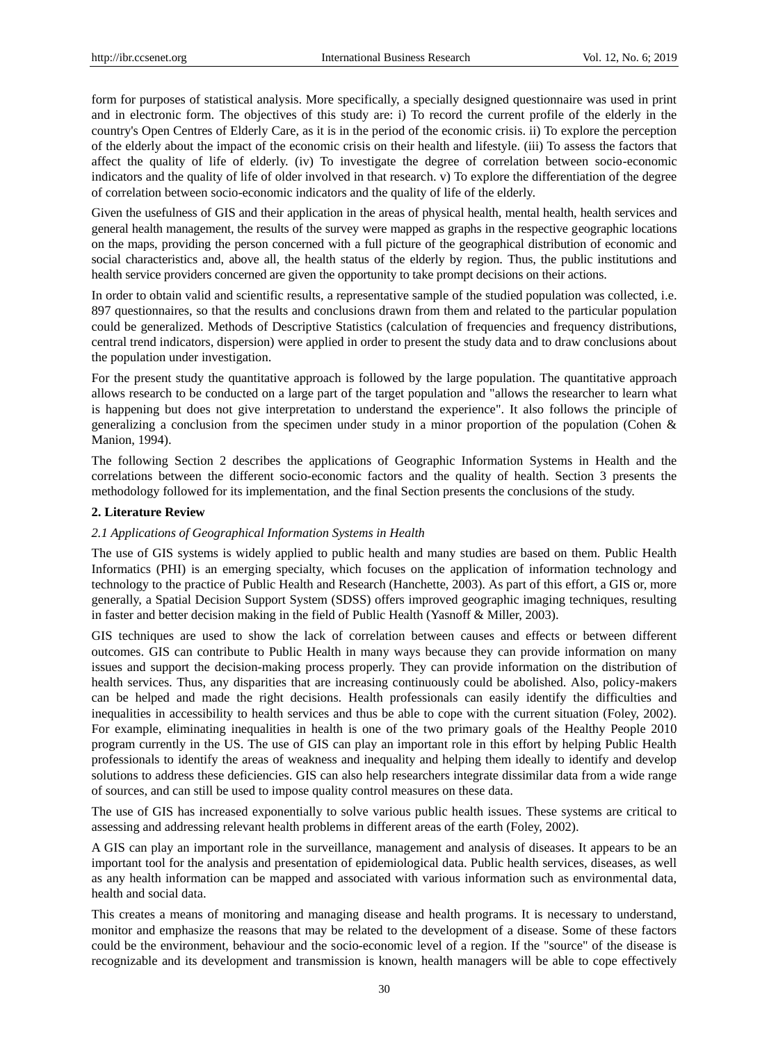form for purposes of statistical analysis. More specifically, a specially designed questionnaire was used in print and in electronic form. Τhe objectives of this study are: i) To record the current profile of the elderly in the country's Open Centres of Elderly Care, as it is in the period of the economic crisis. ii) To explore the perception of the elderly about the impact of the economic crisis on their health and lifestyle. (iii) To assess the factors that affect the quality of life of elderly. (iv) To investigate the degree of correlation between socio-economic indicators and the quality of life of older involved in that research. v) To explore the differentiation of the degree of correlation between socio-economic indicators and the quality of life of the elderly.

Given the usefulness of GIS and their application in the areas of physical health, mental health, health services and general health management, the results of the survey were mapped as graphs in the respective geographic locations on the maps, providing the person concerned with a full picture of the geographical distribution of economic and social characteristics and, above all, the health status of the elderly by region. Thus, the public institutions and health service providers concerned are given the opportunity to take prompt decisions on their actions.

In order to obtain valid and scientific results, a representative sample of the studied population was collected, i.e. 897 questionnaires, so that the results and conclusions drawn from them and related to the particular population could be generalized. Methods of Descriptive Statistics (calculation of frequencies and frequency distributions, central trend indicators, dispersion) were applied in order to present the study data and to draw conclusions about the population under investigation.

For the present study the quantitative approach is followed by the large population. The quantitative approach allows research to be conducted on a large part of the target population and "allows the researcher to learn what is happening but does not give interpretation to understand the experience". It also follows the principle of generalizing a conclusion from the specimen under study in a minor proportion of the population (Cohen  $\&$ Manion, 1994).

The following Section 2 describes the applications of Geographic Information Systems in Health and the correlations between the different socio-economic factors and the quality of health. Section 3 presents the methodology followed for its implementation, and the final Section presents the conclusions of the study.

## **2. Literature Review**

# *2.1 Applications of Geographical Information Systems in Health*

The use of GIS systems is widely applied to public health and many studies are based on them. Public Health Informatics (PHI) is an emerging specialty, which focuses on the application of information technology and technology to the practice of Public Health and Research (Hanchette, 2003). As part of this effort, a GIS or, more generally, a Spatial Decision Support System (SDSS) offers improved geographic imaging techniques, resulting in faster and better decision making in the field of Public Health (Yasnoff & Miller, 2003).

GIS techniques are used to show the lack of correlation between causes and effects or between different outcomes. GIS can contribute to Public Health in many ways because they can provide information on many issues and support the decision-making process properly. They can provide information on the distribution of health services. Thus, any disparities that are increasing continuously could be abolished. Also, policy-makers can be helped and made the right decisions. Health professionals can easily identify the difficulties and inequalities in accessibility to health services and thus be able to cope with the current situation (Foley, 2002). For example, eliminating inequalities in health is one of the two primary goals of the Healthy People 2010 program currently in the US. The use of GIS can play an important role in this effort by helping Public Health professionals to identify the areas of weakness and inequality and helping them ideally to identify and develop solutions to address these deficiencies. GIS can also help researchers integrate dissimilar data from a wide range of sources, and can still be used to impose quality control measures on these data.

The use of GIS has increased exponentially to solve various public health issues. These systems are critical to assessing and addressing relevant health problems in different areas of the earth (Foley, 2002).

A GIS can play an important role in the surveillance, management and analysis of diseases. It appears to be an important tool for the analysis and presentation of epidemiological data. Public health services, diseases, as well as any health information can be mapped and associated with various information such as environmental data, health and social data.

This creates a means of monitoring and managing disease and health programs. It is necessary to understand, monitor and emphasize the reasons that may be related to the development of a disease. Some of these factors could be the environment, behaviour and the socio-economic level of a region. If the "source" of the disease is recognizable and its development and transmission is known, health managers will be able to cope effectively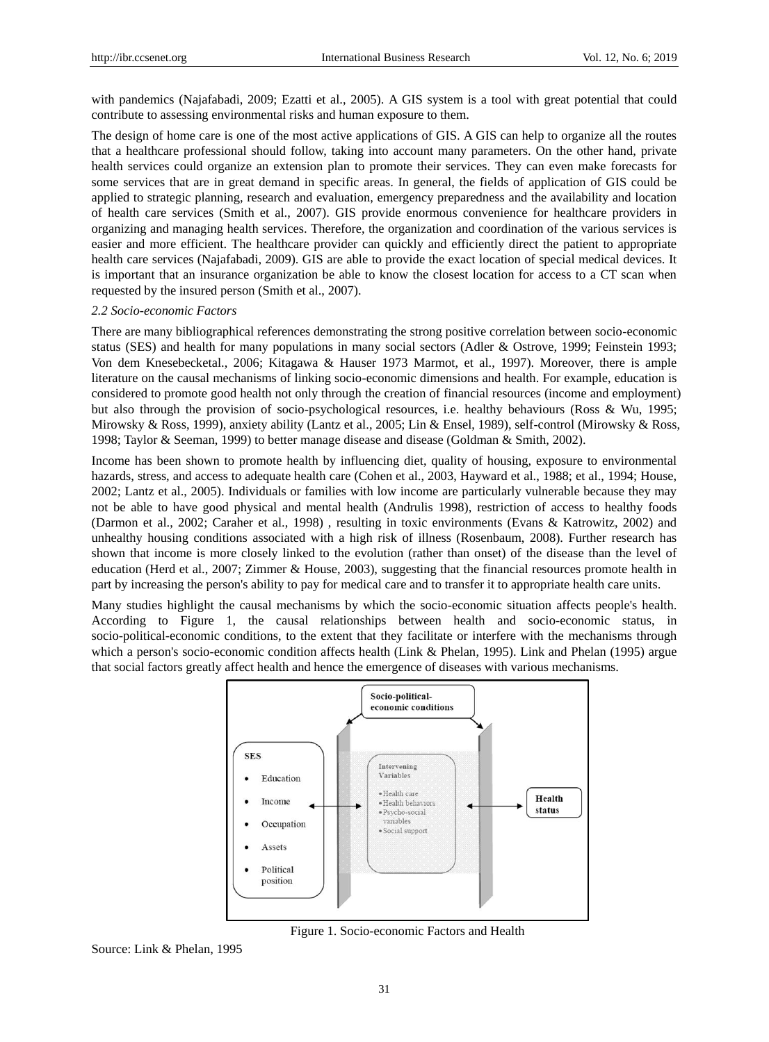with pandemics (Najafabadi, 2009; Ezatti et al., 2005). A GIS system is a tool with great potential that could contribute to assessing environmental risks and human exposure to them.

The design of home care is one of the most active applications of GIS. A GIS can help to organize all the routes that a healthcare professional should follow, taking into account many parameters. On the other hand, private health services could organize an extension plan to promote their services. They can even make forecasts for some services that are in great demand in specific areas. In general, the fields of application of GIS could be applied to strategic planning, research and evaluation, emergency preparedness and the availability and location of health care services (Smith et al., 2007). GIS provide enormous convenience for healthcare providers in organizing and managing health services. Therefore, the organization and coordination of the various services is easier and more efficient. The healthcare provider can quickly and efficiently direct the patient to appropriate health care services (Najafabadi, 2009). GIS are able to provide the exact location of special medical devices. It is important that an insurance organization be able to know the closest location for access to a CT scan when requested by the insured person (Smith et al., 2007).

#### *2.2 Socio-economic Factors*

There are many bibliographical references demonstrating the strong positive correlation between socio-economic status (SES) and health for many populations in many social sectors (Adler & Ostrove, 1999; Feinstein 1993; Von dem Knesebecketal., 2006; Kitagawa & Hauser 1973 Marmot, et al., 1997). Moreover, there is ample literature on the causal mechanisms of linking socio-economic dimensions and health. For example, education is considered to promote good health not only through the creation of financial resources (income and employment) but also through the provision of socio-psychological resources, i.e. healthy behaviours (Ross & Wu, 1995; Mirowsky & Ross, 1999), anxiety ability (Lantz et al., 2005; Lin & Ensel, 1989), self-control (Mirowsky & Ross, 1998; Taylor & Seeman, 1999) to better manage disease and disease (Goldman & Smith, 2002).

Income has been shown to promote health by influencing diet, quality of housing, exposure to environmental hazards, stress, and access to adequate health care (Cohen et al., 2003, Hayward et al., 1988; et al., 1994; House, 2002; Lantz et al., 2005). Individuals or families with low income are particularly vulnerable because they may not be able to have good physical and mental health (Andrulis 1998), restriction of access to healthy foods (Darmon et al., 2002; Caraher et al., 1998) , resulting in toxic environments (Evans & Katrowitz, 2002) and unhealthy housing conditions associated with a high risk of illness (Rosenbaum, 2008). Further research has shown that income is more closely linked to the evolution (rather than onset) of the disease than the level of education (Herd et al., 2007; Zimmer & House, 2003), suggesting that the financial resources promote health in part by increasing the person's ability to pay for medical care and to transfer it to appropriate health care units.

Many studies highlight the causal mechanisms by which the socio-economic situation affects people's health. According to Figure 1, the causal relationships between health and socio-economic status, in socio-political-economic conditions, to the extent that they facilitate or interfere with the mechanisms through which a person's socio-economic condition affects health (Link & Phelan, 1995). Link and Phelan (1995) argue that social factors greatly affect health and hence the emergence of diseases with various mechanisms.



Figure 1. Socio-economic Factors and Health

Source: Link & Phelan, 1995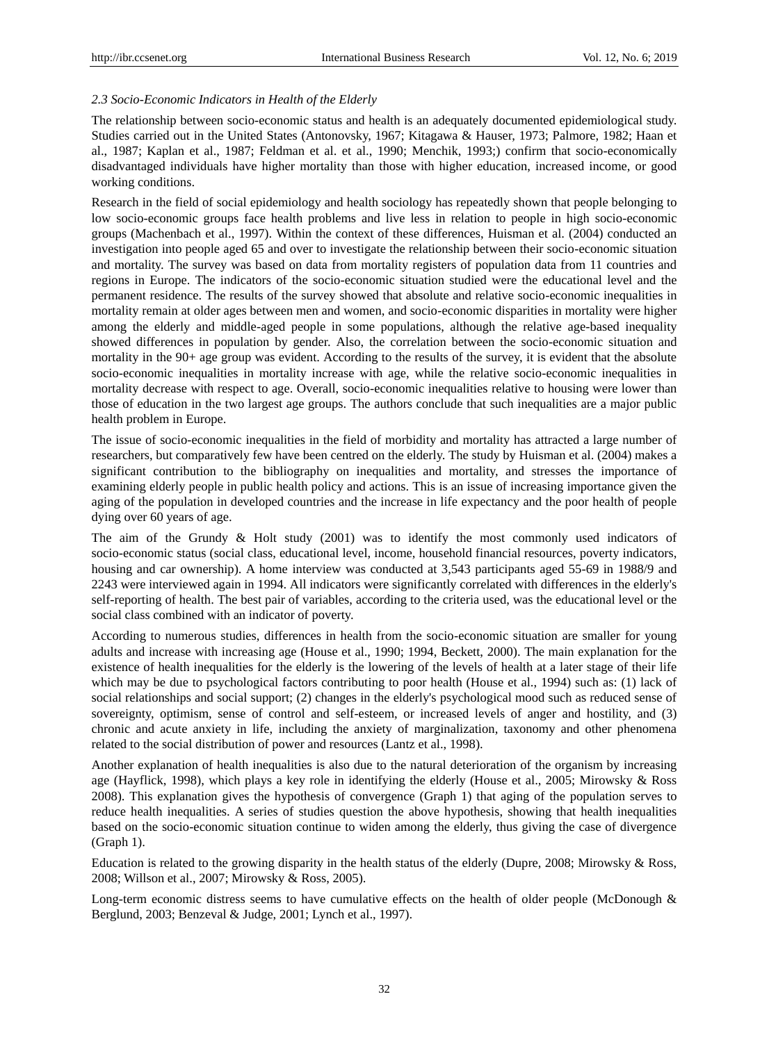# *2.3 Socio-Economic Indicators in Health of the Elderly*

The relationship between socio-economic status and health is an adequately documented epidemiological study. Studies carried out in the United States (Antonovsky, 1967; Kitagawa & Hauser, 1973; Palmore, 1982; Haan et al., 1987; Kaplan et al., 1987; Feldman et al. et al., 1990; Menchik, 1993;) confirm that socio-economically disadvantaged individuals have higher mortality than those with higher education, increased income, or good working conditions.

Research in the field of social epidemiology and health sociology has repeatedly shown that people belonging to low socio-economic groups face health problems and live less in relation to people in high socio-economic groups (Machenbach et al., 1997). Within the context of these differences, Huisman et al. (2004) conducted an investigation into people aged 65 and over to investigate the relationship between their socio-economic situation and mortality. The survey was based on data from mortality registers of population data from 11 countries and regions in Europe. The indicators of the socio-economic situation studied were the educational level and the permanent residence. The results of the survey showed that absolute and relative socio-economic inequalities in mortality remain at older ages between men and women, and socio-economic disparities in mortality were higher among the elderly and middle-aged people in some populations, although the relative age-based inequality showed differences in population by gender. Also, the correlation between the socio-economic situation and mortality in the 90+ age group was evident. According to the results of the survey, it is evident that the absolute socio-economic inequalities in mortality increase with age, while the relative socio-economic inequalities in mortality decrease with respect to age. Overall, socio-economic inequalities relative to housing were lower than those of education in the two largest age groups. The authors conclude that such inequalities are a major public health problem in Europe.

The issue of socio-economic inequalities in the field of morbidity and mortality has attracted a large number of researchers, but comparatively few have been centred on the elderly. The study by Huisman et al. (2004) makes a significant contribution to the bibliography on inequalities and mortality, and stresses the importance of examining elderly people in public health policy and actions. This is an issue of increasing importance given the aging of the population in developed countries and the increase in life expectancy and the poor health of people dying over 60 years of age.

The aim of the Grundy & Holt study (2001) was to identify the most commonly used indicators of socio-economic status (social class, educational level, income, household financial resources, poverty indicators, housing and car ownership). A home interview was conducted at 3,543 participants aged 55-69 in 1988/9 and 2243 were interviewed again in 1994. All indicators were significantly correlated with differences in the elderly's self-reporting of health. The best pair of variables, according to the criteria used, was the educational level or the social class combined with an indicator of poverty.

According to numerous studies, differences in health from the socio-economic situation are smaller for young adults and increase with increasing age (House et al., 1990; 1994, Beckett, 2000). The main explanation for the existence of health inequalities for the elderly is the lowering of the levels of health at a later stage of their life which may be due to psychological factors contributing to poor health (House et al., 1994) such as: (1) lack of social relationships and social support; (2) changes in the elderly's psychological mood such as reduced sense of sovereignty, optimism, sense of control and self-esteem, or increased levels of anger and hostility, and (3) chronic and acute anxiety in life, including the anxiety of marginalization, taxonomy and other phenomena related to the social distribution of power and resources (Lantz et al., 1998).

Another explanation of health inequalities is also due to the natural deterioration of the organism by increasing age (Hayflick, 1998), which plays a key role in identifying the elderly (House et al., 2005; Mirowsky & Ross 2008). This explanation gives the hypothesis of convergence (Graph 1) that aging of the population serves to reduce health inequalities. A series of studies question the above hypothesis, showing that health inequalities based on the socio-economic situation continue to widen among the elderly, thus giving the case of divergence (Graph 1).

Education is related to the growing disparity in the health status of the elderly (Dupre, 2008; Mirowsky & Ross, 2008; Willson et al., 2007; Mirowsky & Ross, 2005).

Long-term economic distress seems to have cumulative effects on the health of older people (McDonough & Berglund, 2003; Benzeval & Judge, 2001; Lynch et al., 1997).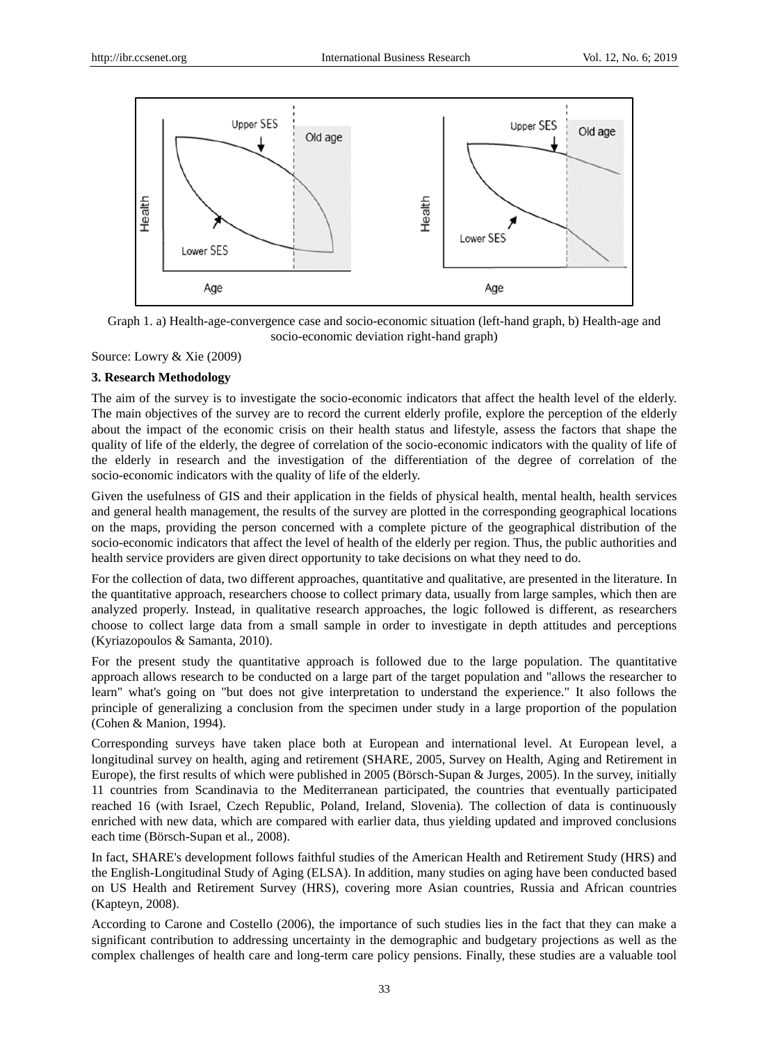

Graph 1. a) Health-age-convergence case and socio-economic situation (left-hand graph, b) Health-age and socio-economic deviation right-hand graph)

Source: Lowry & Xie (2009)

#### **3. Research Methodology**

The aim of the survey is to investigate the socio-economic indicators that affect the health level of the elderly. The main objectives of the survey are to record the current elderly profile, explore the perception of the elderly about the impact of the economic crisis on their health status and lifestyle, assess the factors that shape the quality of life of the elderly, the degree of correlation of the socio-economic indicators with the quality of life of the elderly in research and the investigation of the differentiation of the degree of correlation of the socio-economic indicators with the quality of life of the elderly.

Given the usefulness of GIS and their application in the fields of physical health, mental health, health services and general health management, the results of the survey are plotted in the corresponding geographical locations on the maps, providing the person concerned with a complete picture of the geographical distribution of the socio-economic indicators that affect the level of health of the elderly per region. Thus, the public authorities and health service providers are given direct opportunity to take decisions on what they need to do.

For the collection of data, two different approaches, quantitative and qualitative, are presented in the literature. In the quantitative approach, researchers choose to collect primary data, usually from large samples, which then are analyzed properly. Instead, in qualitative research approaches, the logic followed is different, as researchers choose to collect large data from a small sample in order to investigate in depth attitudes and perceptions (Kyriazopoulos & Samanta, 2010).

For the present study the quantitative approach is followed due to the large population. The quantitative approach allows research to be conducted on a large part of the target population and "allows the researcher to learn" what's going on "but does not give interpretation to understand the experience." It also follows the principle of generalizing a conclusion from the specimen under study in a large proportion of the population (Cohen & Manion, 1994).

Corresponding surveys have taken place both at European and international level. At European level, a longitudinal survey on health, aging and retirement (SHARE, 2005, Survey on Health, Aging and Retirement in Europe), the first results of which were published in 2005 (Börsch-Supan & Jurges, 2005). In the survey, initially 11 countries from Scandinavia to the Mediterranean participated, the countries that eventually participated reached 16 (with Israel, Czech Republic, Poland, Ireland, Slovenia). The collection of data is continuously enriched with new data, which are compared with earlier data, thus yielding updated and improved conclusions each time (Börsch-Supan et al., 2008).

In fact, SHARE's development follows faithful studies of the American Health and Retirement Study (HRS) and the English-Longitudinal Study of Aging (ELSA). In addition, many studies on aging have been conducted based on US Health and Retirement Survey (HRS), covering more Asian countries, Russia and African countries (Kapteyn, 2008).

According to Carone and Costello (2006), the importance of such studies lies in the fact that they can make a significant contribution to addressing uncertainty in the demographic and budgetary projections as well as the complex challenges of health care and long-term care policy pensions. Finally, these studies are a valuable tool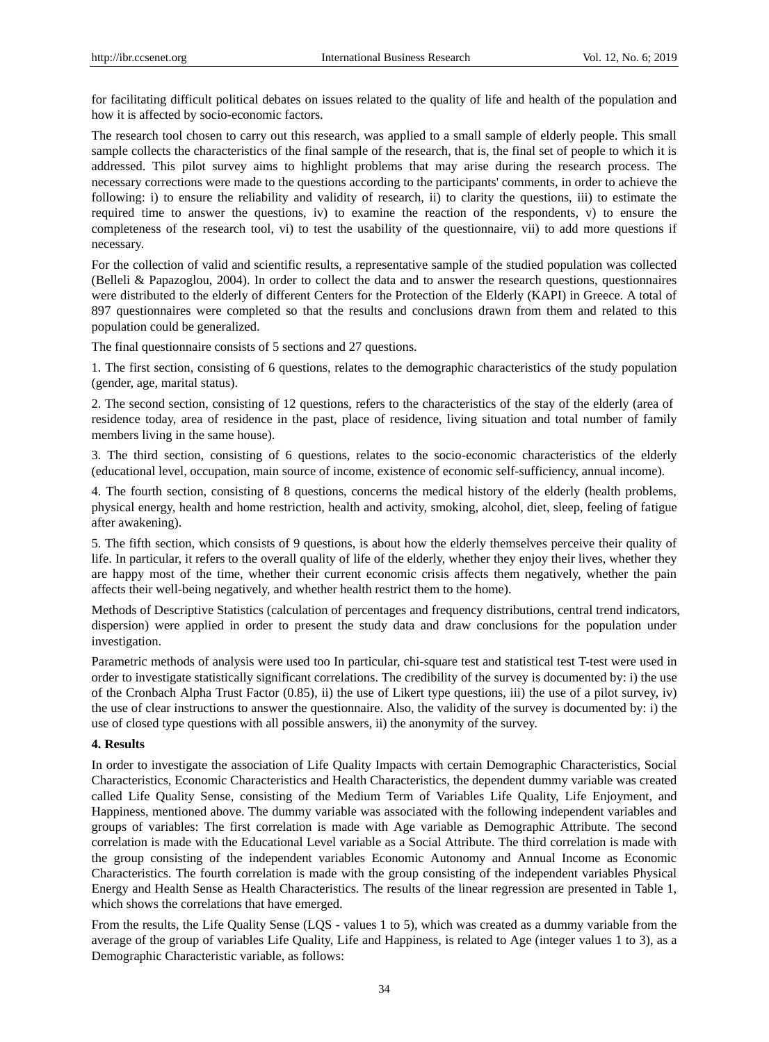for facilitating difficult political debates on issues related to the quality of life and health of the population and how it is affected by socio-economic factors.

The research tool chosen to carry out this research, was applied to a small sample of elderly people. This small sample collects the characteristics of the final sample of the research, that is, the final set of people to which it is addressed. This pilot survey aims to highlight problems that may arise during the research process. The necessary corrections were made to the questions according to the participants' comments, in order to achieve the following: i) to ensure the reliability and validity of research, ii) to clarity the questions, iii) to estimate the required time to answer the questions, iv) to examine the reaction of the respondents, v) to ensure the completeness of the research tool, vi) to test the usability of the questionnaire, vii) to add more questions if necessary.

For the collection of valid and scientific results, a representative sample of the studied population was collected (Belleli & Papazoglou, 2004). In order to collect the data and to answer the research questions, questionnaires were distributed to the elderly of different Centers for the Protection of the Elderly (KAPI) in Greece. A total of 897 questionnaires were completed so that the results and conclusions drawn from them and related to this population could be generalized.

The final questionnaire consists of 5 sections and 27 questions.

1. The first section, consisting of 6 questions, relates to the demographic characteristics of the study population (gender, age, marital status).

2. The second section, consisting of 12 questions, refers to the characteristics of the stay of the elderly (area of residence today, area of residence in the past, place of residence, living situation and total number of family members living in the same house).

3. The third section, consisting of 6 questions, relates to the socio-economic characteristics of the elderly (educational level, occupation, main source of income, existence of economic self-sufficiency, annual income).

4. The fourth section, consisting of 8 questions, concerns the medical history of the elderly (health problems, physical energy, health and home restriction, health and activity, smoking, alcohol, diet, sleep, feeling of fatigue after awakening).

5. The fifth section, which consists of 9 questions, is about how the elderly themselves perceive their quality of life. In particular, it refers to the overall quality of life of the elderly, whether they enjoy their lives, whether they are happy most of the time, whether their current economic crisis affects them negatively, whether the pain affects their well-being negatively, and whether health restrict them to the home).

Methods of Descriptive Statistics (calculation of percentages and frequency distributions, central trend indicators, dispersion) were applied in order to present the study data and draw conclusions for the population under investigation.

Parametric methods of analysis were used too In particular, chi-square test and statistical test T-test were used in order to investigate statistically significant correlations. The credibility of the survey is documented by: i) the use of the Cronbach Alpha Trust Factor (0.85), ii) the use of Likert type questions, iii) the use of a pilot survey, iv) the use of clear instructions to answer the questionnaire. Also, the validity of the survey is documented by: i) the use of closed type questions with all possible answers, ii) the anonymity of the survey.

#### **4. Results**

In order to investigate the association of Life Quality Impacts with certain Demographic Characteristics, Social Characteristics, Economic Characteristics and Health Characteristics, the dependent dummy variable was created called Life Quality Sense, consisting of the Medium Term of Variables Life Quality, Life Enjoyment, and Happiness, mentioned above. The dummy variable was associated with the following independent variables and groups of variables: The first correlation is made with Age variable as Demographic Attribute. The second correlation is made with the Educational Level variable as a Social Attribute. The third correlation is made with the group consisting of the independent variables Economic Autonomy and Annual Income as Economic Characteristics. The fourth correlation is made with the group consisting of the independent variables Physical Energy and Health Sense as Health Characteristics. The results of the linear regression are presented in Table 1, which shows the correlations that have emerged.

From the results, the Life Quality Sense (LQS - values 1 to 5), which was created as a dummy variable from the average of the group of variables Life Quality, Life and Happiness, is related to Age (integer values 1 to 3), as a Demographic Characteristic variable, as follows: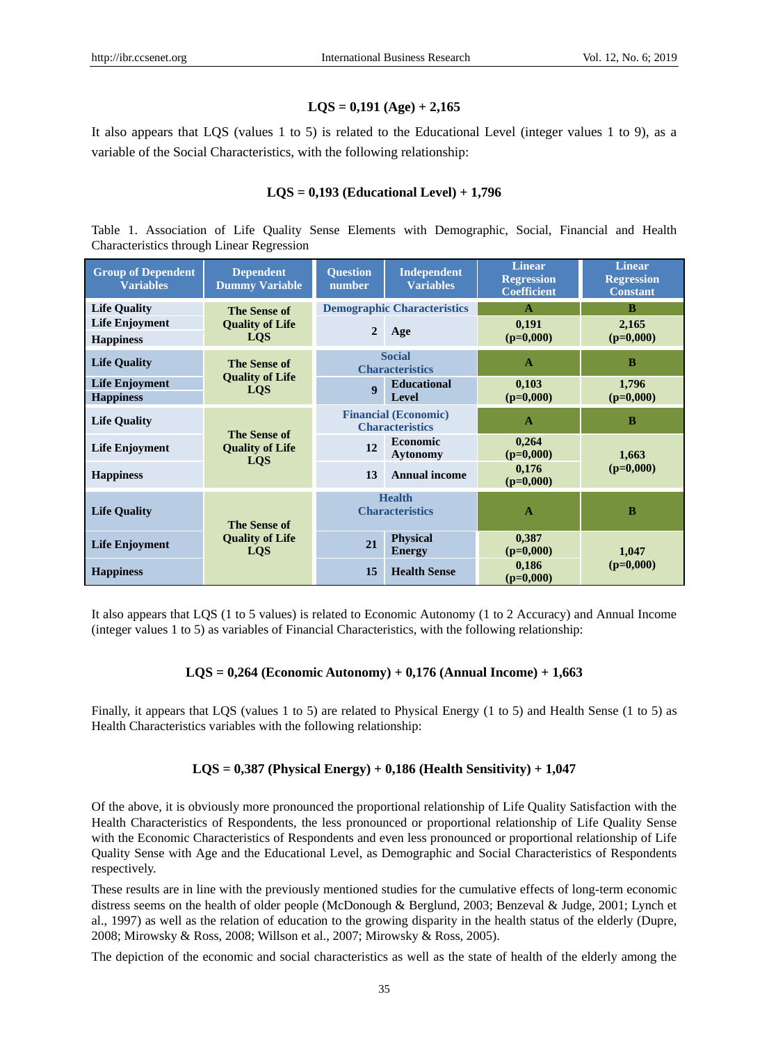# **LQS = 0,191 (Age) + 2,165**

It also appears that LQS (values 1 to 5) is related to the Educational Level (integer values 1 to 9), as a variable of the Social Characteristics, with the following relationship:

# **LQS = 0,193 (Educational Level) + 1,796**

Table 1. Association of Life Quality Sense Elements with Demographic, Social, Financial and Health Characteristics through Linear Regression

| <b>Group of Dependent</b><br><b>Variables</b> | <b>Dependent</b><br><b>Dummy Variable</b>                   | <b>Ouestion</b><br>number               | Independent<br><b>Variables</b>                       | <b>Linear</b><br><b>Regression</b><br>Coefficient | <b>Linear</b><br><b>Regression</b><br><b>Constant</b> |
|-----------------------------------------------|-------------------------------------------------------------|-----------------------------------------|-------------------------------------------------------|---------------------------------------------------|-------------------------------------------------------|
| <b>Life Quality</b>                           | <b>The Sense of</b><br><b>Quality of Life</b><br><b>LOS</b> | <b>Demographic Characteristics</b>      |                                                       | A                                                 | B                                                     |
| <b>Life Enjoyment</b><br><b>Happiness</b>     |                                                             | $\overline{2}$                          | Age                                                   | 0,191<br>$(p=0,000)$                              | 2,165<br>$(p=0,000)$                                  |
| <b>Life Quality</b>                           | The Sense of                                                | <b>Social</b><br><b>Characteristics</b> |                                                       | $\mathbf{A}$                                      | B                                                     |
| <b>Life Enjoyment</b><br><b>Happiness</b>     | <b>Quality of Life</b><br><b>LOS</b>                        | $\boldsymbol{q}$                        | <b>Educational</b><br>Level                           | 0,103<br>$(p=0,000)$                              | 1,796<br>$(p=0,000)$                                  |
| <b>Life Quality</b>                           | <b>The Sense of</b><br><b>Quality of Life</b><br><b>LOS</b> |                                         | <b>Financial (Economic)</b><br><b>Characteristics</b> | $\mathbf{A}$                                      | B                                                     |
| <b>Life Enjoyment</b>                         |                                                             | 12                                      | <b>Economic</b><br><b>Aytonomy</b>                    | 0,264<br>$(p=0,000)$                              | 1,663<br>$(p=0,000)$                                  |
| <b>Happiness</b>                              |                                                             | 13                                      | <b>Annual income</b>                                  | 0,176<br>$(p=0,000)$                              |                                                       |
| <b>Life Quality</b>                           | The Sense of                                                |                                         | <b>Health</b><br><b>Characteristics</b>               | $\mathbf{A}$                                      | B                                                     |
| <b>Life Enjoyment</b>                         | <b>Quality of Life</b><br><b>LOS</b>                        | 21                                      | <b>Physical</b><br><b>Energy</b>                      | 0,387<br>$(p=0,000)$                              | 1,047                                                 |
| <b>Happiness</b>                              |                                                             | 15                                      | <b>Health Sense</b>                                   | 0,186<br>$(p=0,000)$                              | $(p=0,000)$                                           |

It also appears that LQS (1 to 5 values) is related to Economic Autonomy (1 to 2 Accuracy) and Annual Income (integer values 1 to 5) as variables of Financial Characteristics, with the following relationship:

# **LQS = 0,264 (Economic Autonomy) + 0,176 (Annual Income) + 1,663**

Finally, it appears that LQS (values 1 to 5) are related to Physical Energy (1 to 5) and Health Sense (1 to 5) as Health Characteristics variables with the following relationship:

# **LQS = 0,387 (Physical Energy) + 0,186 (Health Sensitivity) + 1,047**

Of the above, it is obviously more pronounced the proportional relationship of Life Quality Satisfaction with the Health Characteristics of Respondents, the less pronounced or proportional relationship of Life Quality Sense with the Economic Characteristics of Respondents and even less pronounced or proportional relationship of Life Quality Sense with Age and the Educational Level, as Demographic and Social Characteristics of Respondents respectively.

These results are in line with the previously mentioned studies for the cumulative effects of long-term economic distress seems on the health of older people (McDonough & Berglund, 2003; Benzeval & Judge, 2001; Lynch et al., 1997) as well as the relation of education to the growing disparity in the health status of the elderly (Dupre, 2008; Mirowsky & Ross, 2008; Willson et al., 2007; Mirowsky & Ross, 2005).

The depiction of the economic and social characteristics as well as the state of health of the elderly among the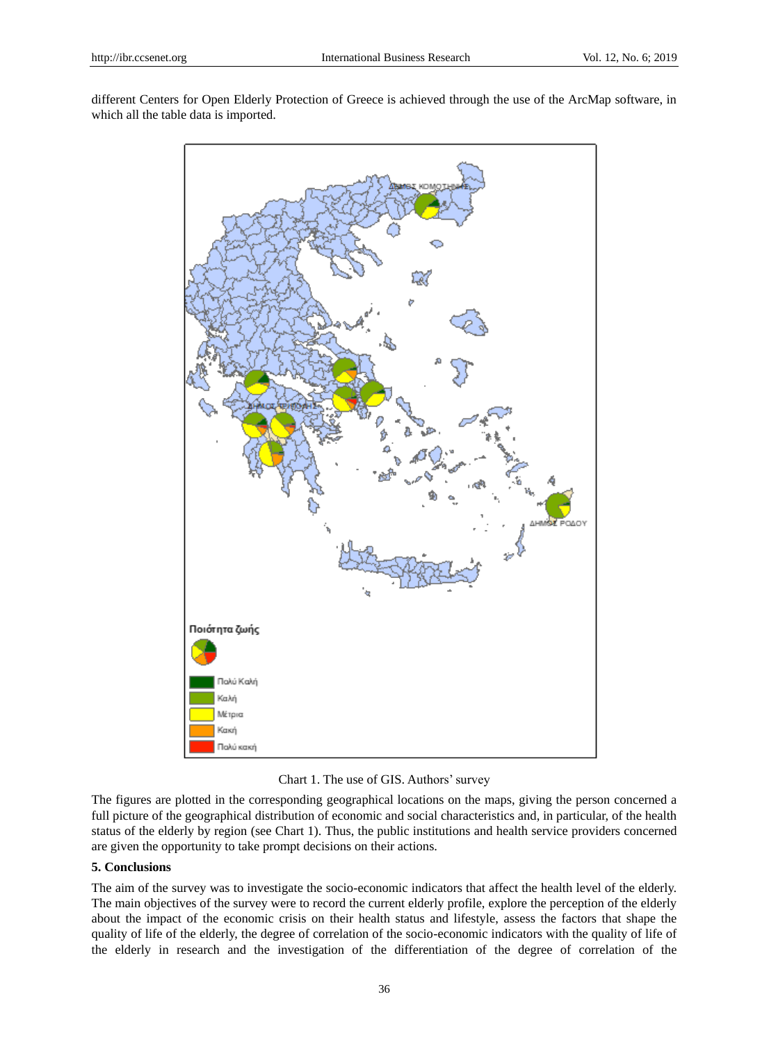different Centers for Open Elderly Protection of Greece is achieved through the use of the ArcMap software, in which all the table data is imported.



Chart 1. The use of GIS. Authors' survey

The figures are plotted in the corresponding geographical locations on the maps, giving the person concerned a full picture of the geographical distribution of economic and social characteristics and, in particular, of the health status of the elderly by region (see Chart 1). Thus, the public institutions and health service providers concerned are given the opportunity to take prompt decisions on their actions.

## **5. Conclusions**

The aim of the survey was to investigate the socio-economic indicators that affect the health level of the elderly. The main objectives of the survey were to record the current elderly profile, explore the perception of the elderly about the impact of the economic crisis on their health status and lifestyle, assess the factors that shape the quality of life of the elderly, the degree of correlation of the socio-economic indicators with the quality of life of the elderly in research and the investigation of the differentiation of the degree of correlation of the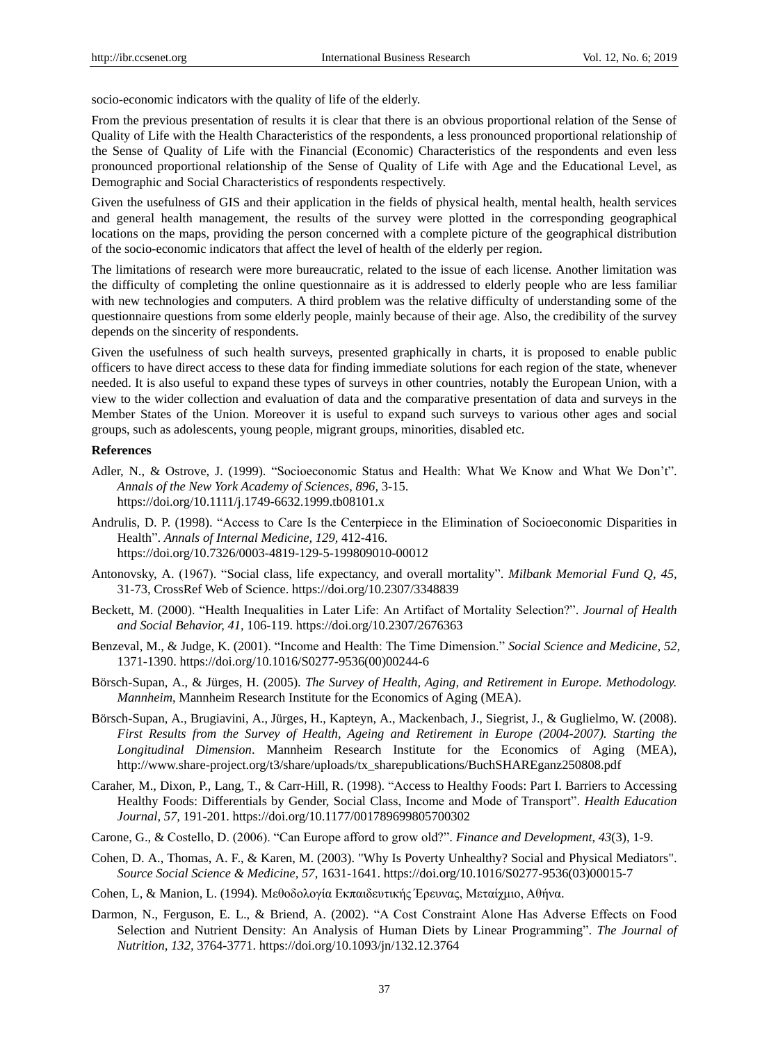socio-economic indicators with the quality of life of the elderly.

From the previous presentation of results it is clear that there is an obvious proportional relation of the Sense of Quality of Life with the Health Characteristics of the respondents, a less pronounced proportional relationship of the Sense of Quality of Life with the Financial (Economic) Characteristics of the respondents and even less pronounced proportional relationship of the Sense of Quality of Life with Age and the Educational Level, as Demographic and Social Characteristics of respondents respectively.

Given the usefulness of GIS and their application in the fields of physical health, mental health, health services and general health management, the results of the survey were plotted in the corresponding geographical locations on the maps, providing the person concerned with a complete picture of the geographical distribution of the socio-economic indicators that affect the level of health of the elderly per region.

The limitations of research were more bureaucratic, related to the issue of each license. Another limitation was the difficulty of completing the online questionnaire as it is addressed to elderly people who are less familiar with new technologies and computers. A third problem was the relative difficulty of understanding some of the questionnaire questions from some elderly people, mainly because of their age. Also, the credibility of the survey depends on the sincerity of respondents.

Given the usefulness of such health surveys, presented graphically in charts, it is proposed to enable public officers to have direct access to these data for finding immediate solutions for each region of the state, whenever needed. It is also useful to expand these types of surveys in other countries, notably the European Union, with a view to the wider collection and evaluation of data and the comparative presentation of data and surveys in the Member States of the Union. Moreover it is useful to expand such surveys to various other ages and social groups, such as adolescents, young people, migrant groups, minorities, disabled etc.

#### **References**

- Adler, N., & Ostrove, J. (1999). "Socioeconomic Status and Health: What We Know and What We Don't". *Annals of the New York Academy of Sciences, 896,* 3-15. https://doi.org/10.1111/j.1749-6632.1999.tb08101.x
- Andrulis, D. P. (1998). "Access to Care Is the Centerpiece in the Elimination of Socioeconomic Disparities in Health". *Annals of Internal Medicine, 129,* 412-416. https://doi.org/10.7326/0003-4819-129-5-199809010-00012
- Antonovsky, A. (1967). "Social class, life expectancy, and overall mortality". *Milbank Memorial Fund Q, 45,*  31-73, CrossRef Web of Science. https://doi.org/10.2307/3348839
- Beckett, M. (2000). "Health Inequalities in Later Life: An Artifact of Mortality Selection?". *Journal of Health and Social Behavior, 41,* 106-119. https://doi.org/10.2307/2676363
- Benzeval, M., & Judge, K. (2001). "Income and Health: The Time Dimension." *Social Science and Medicine, 52,*  1371-1390. https://doi.org/10.1016/S0277-9536(00)00244-6
- Börsch-Supan, A., & Jürges, H. (2005). *The Survey of Health, Aging, and Retirement in Europe. Methodology. Mannheim*, Mannheim Research Institute for the Economics of Aging (MEA).
- Börsch-Supan, A., Brugiavini, A., Jürges, H., Kapteyn, A., Mackenbach, J., Siegrist, J., & Guglielmo, W. (2008). *First Results from the Survey of Health, Ageing and Retirement in Europe (2004-2007). Starting the Longitudinal Dimension*. Mannheim Research Institute for the Economics of Aging (MEA), http://www.share-project.org/t3/share/uploads/tx\_sharepublications/BuchSHAREganz250808.pdf
- Caraher, M., Dixon, P., Lang, T., & Carr-Hill, R. (1998). "Access to Healthy Foods: Part I. Barriers to Accessing Healthy Foods: Differentials by Gender, Social Class, Income and Mode of Transport". *Health Education Journal, 57,* 191-201. https://doi.org/10.1177/001789699805700302
- Carone, G., & Costello, D. (2006). "Can Europe afford to grow old?". *Finance and Development*, *43*(3), 1-9.
- Cohen, D. A., Thomas, A. F., & Karen, M. (2003). "Why Is Poverty Unhealthy? Social and Physical Mediators". *Source Social Science & Medicine, 57,* 1631-1641. https://doi.org/10.1016/S0277-9536(03)00015-7
- Cohen, L, & Manion, L. (1994). Μεθοδολογία Εκπαιδευτικής Έρευνας, Μεταίχμιο, Αθήνα.
- Darmon, N., Ferguson, E. L., & Briend, A. (2002). "A Cost Constraint Alone Has Adverse Effects on Food Selection and Nutrient Density: An Analysis of Human Diets by Linear Programming". *The Journal of Nutrition, 132,* 3764-3771. https://doi.org/10.1093/jn/132.12.3764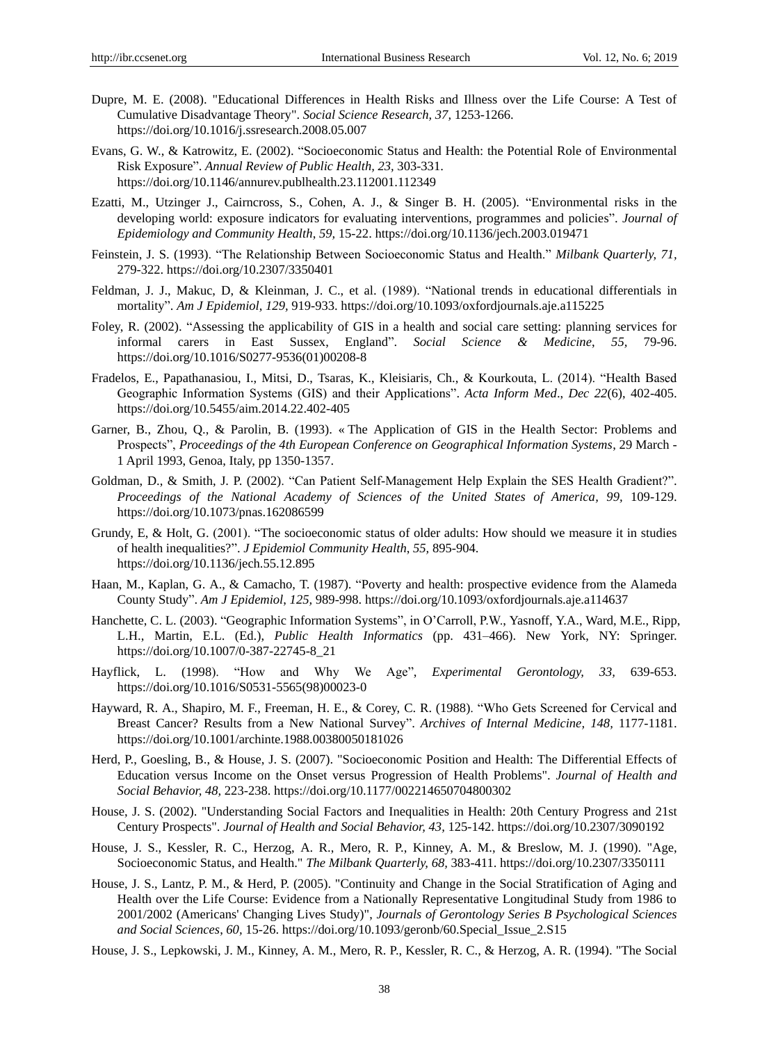- Dupre, M. E. (2008). "Educational Differences in Health Risks and Illness over the Life Course: A Test of Cumulative Disadvantage Theory". *Social Science Research, 37,* 1253-1266. https://doi.org/10.1016/j.ssresearch.2008.05.007
- Evans, G. W., & Katrowitz, E. (2002). "Socioeconomic Status and Health: the Potential Role of Environmental Risk Exposure". *Annual Review of Public Health, 23,* 303-331. https://doi.org/10.1146/annurev.publhealth.23.112001.112349
- Ezatti, M., Utzinger J., Cairncross, S., Cohen, A. J., & Singer B. H. (2005). "Environmental risks in the developing world: exposure indicators for evaluating interventions, programmes and policies". *Journal of Epidemiology and Community Health*, *59,* 15-22. https://doi.org/10.1136/jech.2003.019471
- Feinstein, J. S. (1993). "The Relationship Between Socioeconomic Status and Health." *Milbank Quarterly, 71,* 279-322. https://doi.org/10.2307/3350401
- Feldman, J. J., Makuc, D, & Kleinman, J. C., et al. (1989). "National trends in educational differentials in mortality". *Am J Epidemiol*, *129,* 919-933. https://doi.org/10.1093/oxfordjournals.aje.a115225
- Foley, R. (2002). "Assessing the applicability of GIS in a health and social care setting: planning services for informal carers in East Sussex, England". *Social Science & Medicine*, *55,* 79-96. https://doi.org/10.1016/S0277-9536(01)00208-8
- Fradelos, E., Papathanasiou, I., Mitsi, D., Tsaras, K., Kleisiaris, Ch., & Kourkouta, L. (2014). "Health Based Geographic Information Systems (GIS) and their Applications". *Acta Inform Med*., *Dec 22*(6), 402-405. https://doi.org/10.5455/aim.2014.22.402-405
- Garner, B., Zhou, Q., & Parolin, B. (1993). «The Application of GIS in the Health Sector: Problems and Prospects", *Proceedings of the 4th European Conference on Geographical Information Systems*, 29 March - 1 April 1993, Genoa, Italy, pp 1350-1357.
- Goldman, D., & Smith, J. P. (2002). "Can Patient Self-Management Help Explain the SES Health Gradient?". *Proceedings of the National Academy of Sciences of the United States of America, 99,* 109-129. https://doi.org/10.1073/pnas.162086599
- Grundy, E, & Holt, G. (2001). "The socioeconomic status of older adults: How should we measure it in studies of health inequalities?". *J Epidemiol Community Health*, *55,* 895-904. https://doi.org/10.1136/jech.55.12.895
- Haan, M., Kaplan, G. A., & Camacho, T. (1987). "Poverty and health: prospective evidence from the Alameda County Study". *Am J Epidemiol*, *125,* 989-998. https://doi.org/10.1093/oxfordjournals.aje.a114637
- Hanchette, C. L. (2003). "Geographic Information Systems", in O'Carroll, P.W., Yasnoff, Y.A., Ward, M.E., Ripp, L.H., Martin, E.L. (Ed.), *Public Health Informatics* (pp. 431–466). New York, NY: Springer. https://doi.org/10.1007/0-387-22745-8\_21
- Hayflick, L. (1998). "How and Why We Age", *Experimental Gerontology, 33,* 639-653. https://doi.org/10.1016/S0531-5565(98)00023-0
- Hayward, R. A., Shapiro, M. F., Freeman, H. E., & Corey, C. R. (1988). "Who Gets Screened for Cervical and Breast Cancer? Results from a New National Survey". *Archives of Internal Medicine, 148,* 1177-1181. https://doi.org/10.1001/archinte.1988.00380050181026
- Herd, P., Goesling, B., & House, J. S. (2007). "Socioeconomic Position and Health: The Differential Effects of Education versus Income on the Onset versus Progression of Health Problems". *Journal of Health and Social Behavior, 48,* 223-238. https://doi.org/10.1177/002214650704800302
- House, J. S. (2002). "Understanding Social Factors and Inequalities in Health: 20th Century Progress and 21st Century Prospects". *Journal of Health and Social Behavior, 43,* 125-142. https://doi.org/10.2307/3090192
- House, J. S., Kessler, R. C., Herzog, A. R., Mero, R. P., Kinney, A. M., & Breslow, M. J. (1990). "Age, Socioeconomic Status, and Health." *The Milbank Quarterly, 68,* 383-411. https://doi.org/10.2307/3350111
- House, J. S., Lantz, P. M., & Herd, P. (2005). "Continuity and Change in the Social Stratification of Aging and Health over the Life Course: Evidence from a Nationally Representative Longitudinal Study from 1986 to 2001/2002 (Americans' Changing Lives Study)", *Journals of Gerontology Series B Psychological Sciences and Social Sciences*, *60,* 15-26. https://doi.org/10.1093/geronb/60.Special\_Issue\_2.S15
- House, J. S., Lepkowski, J. M., Kinney, A. M., Mero, R. P., Kessler, R. C., & Herzog, A. R. (1994). "The Social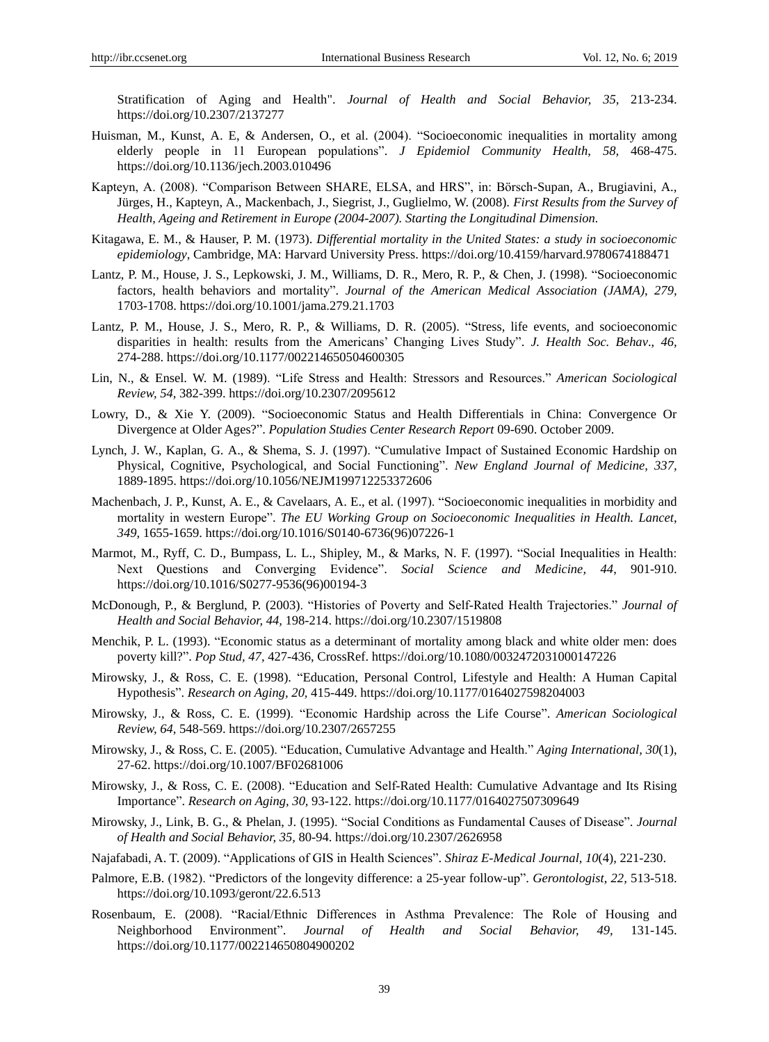Stratification of Aging and Health". *Journal of Health and Social Behavior, 35,* 213-234. https://doi.org/10.2307/2137277

- Huisman, M., Kunst, A. E, & Andersen, O., et al. (2004). "Socioeconomic inequalities in mortality among elderly people in 11 European populations". *J Epidemiol Community Health*, *58,* 468-475. https://doi.org/10.1136/jech.2003.010496
- Kapteyn, A. (2008). "Comparison Between SHARE, ELSA, and HRS", in: Börsch-Supan, A., Brugiavini, A., Jürges, H., Kapteyn, A., Mackenbach, J., Siegrist, J., Guglielmo, W. (2008). *First Results from the Survey of Health, Ageing and Retirement in Europe (2004-2007). Starting the Longitudinal Dimension.*
- Kitagawa, E. M., & Hauser, P. M. (1973). *Differential mortality in the United States: a study in socioeconomic epidemiology*, Cambridge, MA: Harvard University Press. https://doi.org/10.4159/harvard.9780674188471
- Lantz, P. M., House, J. S., Lepkowski, J. M., Williams, D. R., Mero, R. P., & Chen, J. (1998). "Socioeconomic factors, health behaviors and mortality". *Journal of the American Medical Association (JAMA)*, *279,*  1703-1708. https://doi.org/10.1001/jama.279.21.1703
- Lantz, P. M., House, J. S., Mero, R. P., & Williams, D. R. (2005). "Stress, life events, and socioeconomic disparities in health: results from the Americans' Changing Lives Study". *J. Health Soc. Behav*., *46,*  274-288. https://doi.org/10.1177/002214650504600305
- Lin, N., & Ensel. W. M. (1989). "Life Stress and Health: Stressors and Resources." *American Sociological Review, 54,* 382-399. https://doi.org/10.2307/2095612
- Lowry, D., & Xie Y. (2009). "Socioeconomic Status and Health Differentials in China: Convergence Or Divergence at Older Ages?". *Population Studies Center Research Report* 09-690. October 2009.
- Lynch, J. W., Kaplan, G. A., & Shema, S. J. (1997). "Cumulative Impact of Sustained Economic Hardship on Physical, Cognitive, Psychological, and Social Functioning". *New England Journal of Medicine, 337,*  1889-1895. https://doi.org/10.1056/NEJM199712253372606
- Machenbach, J. P., Kunst, A. E., & Cavelaars, A. E., et al. (1997). "Socioeconomic inequalities in morbidity and mortality in western Europe". *The EU Working Group on Socioeconomic Inequalities in Health. Lancet*, *349,* 1655-1659. https://doi.org/10.1016/S0140-6736(96)07226-1
- Marmot, M., Ryff, C. D., Bumpass, L. L., Shipley, M., & Marks, N. F. (1997). "Social Inequalities in Health: Next Questions and Converging Evidence". *Social Science and Medicine, 44*, 901-910. https://doi.org/10.1016/S0277-9536(96)00194-3
- McDonough, P., & Berglund, P. (2003). "Histories of Poverty and Self-Rated Health Trajectories." *Journal of Health and Social Behavior, 44,* 198-214. https://doi.org/10.2307/1519808
- Menchik, P. L. (1993). "Economic status as a determinant of mortality among black and white older men: does poverty kill?". *Pop Stud, 47,* 427-436, CrossRef. https://doi.org/10.1080/0032472031000147226
- Mirowsky, J., & Ross, C. E. (1998). "Education, Personal Control, Lifestyle and Health: A Human Capital Hypothesis". *Research on Aging, 20,* 415-449. https://doi.org/10.1177/0164027598204003
- Mirowsky, J., & Ross, C. E. (1999). "Economic Hardship across the Life Course". *American Sociological Review, 64,* 548-569. https://doi.org/10.2307/2657255
- Mirowsky, J., & Ross, C. E. (2005). "Education, Cumulative Advantage and Health." *Aging International, 30*(1), 27-62. https://doi.org/10.1007/BF02681006
- Mirowsky, J., & Ross, C. E. (2008). "Education and Self-Rated Health: Cumulative Advantage and Its Rising Importance". *Research on Aging, 30,* 93-122. https://doi.org/10.1177/0164027507309649
- Mirowsky, J., Link, B. G., & Phelan, J. (1995). "Social Conditions as Fundamental Causes of Disease". *Journal of Health and Social Behavior, 35,* 80-94. https://doi.org/10.2307/2626958
- Najafabadi, A. T. (2009). "Applications of GIS in Health Sciences". *Shiraz E-Medical Journal*, *10*(4), 221-230.
- Palmore, E.B. (1982). "Predictors of the longevity difference: a 25-year follow-up". *Gerontologist*, *22,* 513-518. https://doi.org/10.1093/geront/22.6.513
- Rosenbaum, E. (2008). "Racial/Ethnic Differences in Asthma Prevalence: The Role of Housing and Neighborhood Environment". *Journal of Health and Social Behavior, 49,* 131-145. https://doi.org/10.1177/002214650804900202